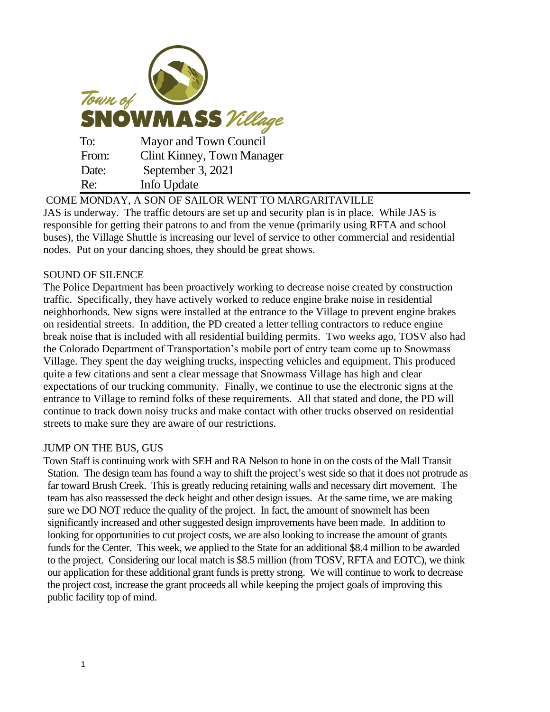| Town of<br><b>SNOWMASS</b> Village |                                   |
|------------------------------------|-----------------------------------|
| To:                                | Mayor and Town Council            |
| From:                              | <b>Clint Kinney, Town Manager</b> |
| Date:                              | September 3, 2021                 |
| Re:                                | Info Update                       |

COME MONDAY, A SON OF SAILOR WENT TO MARGARITAVILLE JAS is underway. The traffic detours are set up and security plan is in place. While JAS is responsible for getting their patrons to and from the venue (primarily using RFTA and school buses), the Village Shuttle is increasing our level of service to other commercial and residential nodes. Put on your dancing shoes, they should be great shows.

# SOUND OF SILENCE

The Police Department has been proactively working to decrease noise created by construction traffic. Specifically, they have actively worked to reduce engine brake noise in residential neighborhoods. New signs were installed at the entrance to the Village to prevent engine brakes on residential streets. In addition, the PD created a letter telling contractors to reduce engine break noise that is included with all residential building permits. Two weeks ago, TOSV also had the Colorado Department of Transportation's mobile port of entry team come up to Snowmass Village. They spent the day weighing trucks, inspecting vehicles and equipment. This produced quite a few citations and sent a clear message that Snowmass Village has high and clear expectations of our trucking community. Finally, we continue to use the electronic signs at the entrance to Village to remind folks of these requirements. All that stated and done, the PD will continue to track down noisy trucks and make contact with other trucks observed on residential streets to make sure they are aware of our restrictions.

#### JUMP ON THE BUS, GUS

Town Staff is continuing work with SEH and RA Nelson to hone in on the costs of the Mall Transit Station. The design team has found a way to shift the project's west side so that it does not protrude as far toward Brush Creek. This is greatly reducing retaining walls and necessary dirt movement. The team has also reassessed the deck height and other design issues. At the same time, we are making sure we DO NOT reduce the quality of the project. In fact, the amount of snowmelt has been significantly increased and other suggested design improvements have been made. In addition to looking for opportunities to cut project costs, we are also looking to increase the amount of grants funds for the Center. This week, we applied to the State for an additional \$8.4 million to be awarded to the project. Considering our local match is \$8.5 million (from TOSV, RFTA and EOTC), we think our application for these additional grant funds is pretty strong. We will continue to work to decrease the project cost, increase the grant proceeds all while keeping the project goals of improving this public facility top of mind.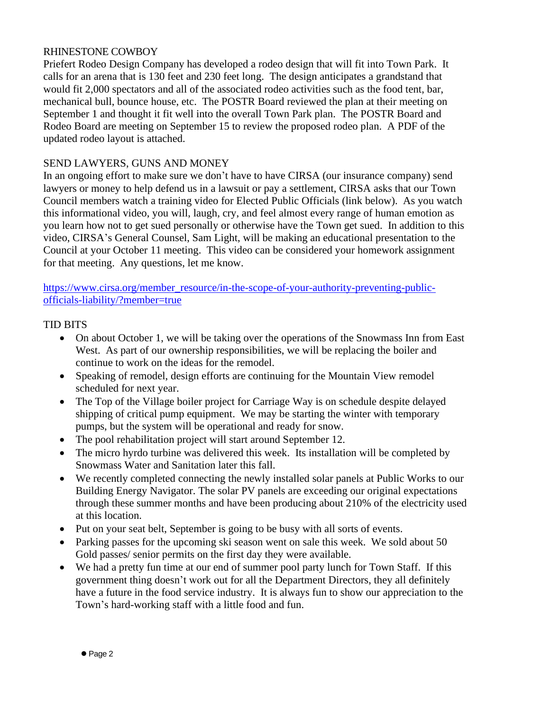# RHINESTONE COWBOY

Priefert Rodeo Design Company has developed a rodeo design that will fit into Town Park. It calls for an arena that is 130 feet and 230 feet long. The design anticipates a grandstand that would fit 2,000 spectators and all of the associated rodeo activities such as the food tent, bar, mechanical bull, bounce house, etc. The POSTR Board reviewed the plan at their meeting on September 1 and thought it fit well into the overall Town Park plan. The POSTR Board and Rodeo Board are meeting on September 15 to review the proposed rodeo plan. A PDF of the updated rodeo layout is attached.

# SEND LAWYERS, GUNS AND MONEY

In an ongoing effort to make sure we don't have to have CIRSA (our insurance company) send lawyers or money to help defend us in a lawsuit or pay a settlement, CIRSA asks that our Town Council members watch a training video for Elected Public Officials (link below). As you watch this informational video, you will, laugh, cry, and feel almost every range of human emotion as you learn how not to get sued personally or otherwise have the Town get sued. In addition to this video, CIRSA's General Counsel, Sam Light, will be making an educational presentation to the Council at your October 11 meeting. This video can be considered your homework assignment for that meeting. Any questions, let me know.

[https://www.cirsa.org/member\\_resource/in-the-scope-of-your-authority-preventing-public](https://www.cirsa.org/member_resource/in-the-scope-of-your-authority-preventing-public-officials-liability/?member=true)[officials-liability/?member=true](https://www.cirsa.org/member_resource/in-the-scope-of-your-authority-preventing-public-officials-liability/?member=true)

# TID BITS

- On about October 1, we will be taking over the operations of the Snowmass Inn from East West. As part of our ownership responsibilities, we will be replacing the boiler and continue to work on the ideas for the remodel.
- Speaking of remodel, design efforts are continuing for the Mountain View remodel scheduled for next year.
- The Top of the Village boiler project for Carriage Way is on schedule despite delayed shipping of critical pump equipment. We may be starting the winter with temporary pumps, but the system will be operational and ready for snow.
- The pool rehabilitation project will start around September 12.
- The micro hyrdo turbine was delivered this week. Its installation will be completed by Snowmass Water and Sanitation later this fall.
- We recently completed connecting the newly installed solar panels at Public Works to our Building Energy Navigator. The solar PV panels are exceeding our original expectations through these summer months and have been producing about 210% of the electricity used at this location.
- Put on your seat belt, September is going to be busy with all sorts of events.
- Parking passes for the upcoming ski season went on sale this week. We sold about 50 Gold passes/ senior permits on the first day they were available.
- We had a pretty fun time at our end of summer pool party lunch for Town Staff. If this government thing doesn't work out for all the Department Directors, they all definitely have a future in the food service industry. It is always fun to show our appreciation to the Town's hard-working staff with a little food and fun.